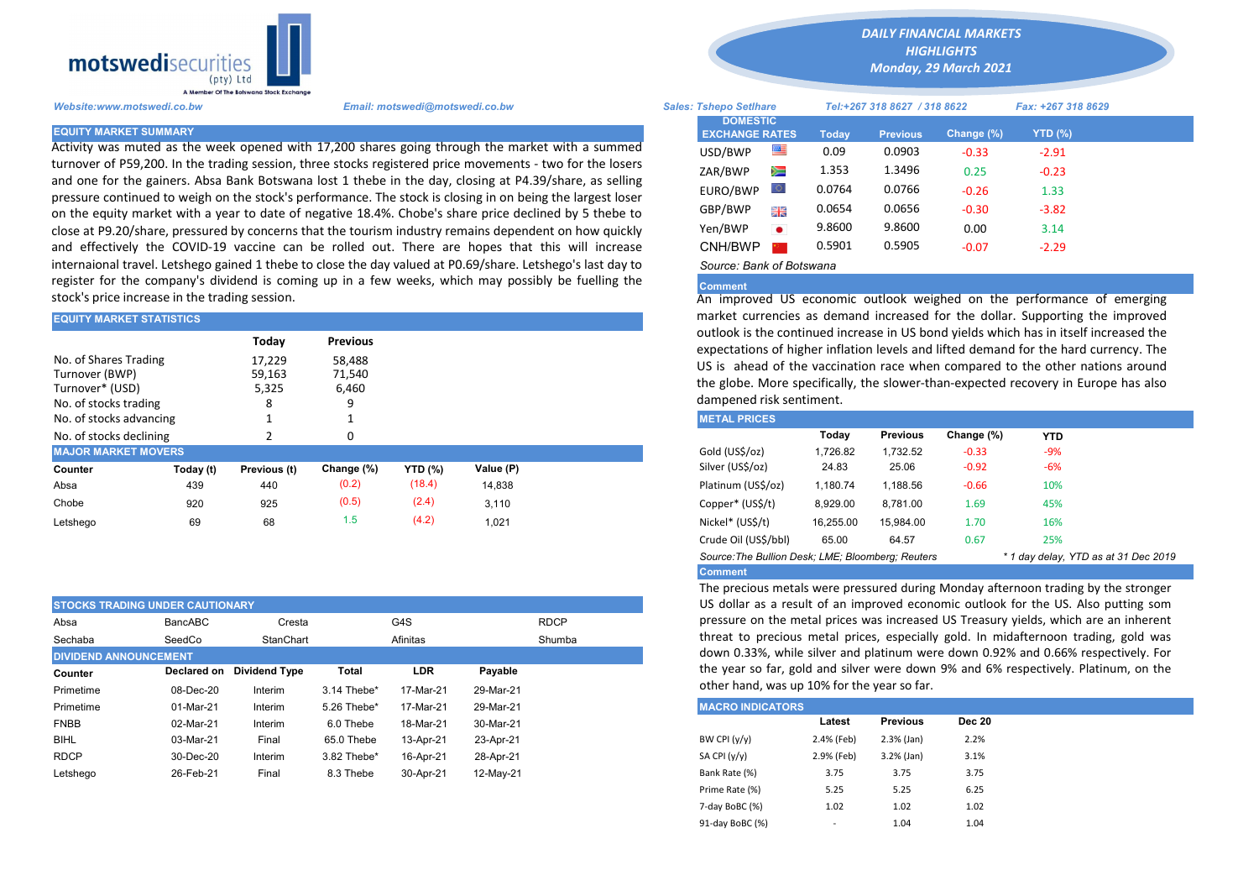

Activity was muted as the week opened with 17,200 shares going through the market with a summed turnover of P59,200. In the trading session, three stocks registered price movements - two for the losers and one for the gainers. Absa Bank Botswana lost 1 thebe in the day, closing at P4.39/share, as selling pressure continued to weigh on the stock's performance. The stock is closing in on being the largest loser on the equity market with a year to date of negative 18.4%. Chobe's share price declined by 5 thebe to close at P9.20/share, pressured by concerns that the tourism industry remains dependent on how quickly and effectively the COVID-19 vaccine can be rolled out. There are hopes that this will increase internaional travel. Letshego gained 1 thebe to close the day valued at P0.69/share. Letshego's last day to register for the company's dividend is coming up in a few weeks, which may possibly be fuelling the stock's price increase in the trading session.

| <b>EQUITY MARKET STATISTICS</b>                                                     |           |                                         |                                              |                | market currencies as demand increased for the dollar. Supporting th |                                                                                                                                                                                                                                                                                                                                     |           |                 |            |            |  |  |  |  |
|-------------------------------------------------------------------------------------|-----------|-----------------------------------------|----------------------------------------------|----------------|---------------------------------------------------------------------|-------------------------------------------------------------------------------------------------------------------------------------------------------------------------------------------------------------------------------------------------------------------------------------------------------------------------------------|-----------|-----------------|------------|------------|--|--|--|--|
| No. of Shares Trading<br>Turnover (BWP)<br>Turnover* (USD)<br>No. of stocks trading |           | Today<br>17,229<br>59,163<br>5,325<br>8 | <b>Previous</b><br>58,488<br>71,540<br>6,460 |                |                                                                     | outlook is the continued increase in US bond yields which has in itself in<br>expectations of higher inflation levels and lifted demand for the hard or<br>US is ahead of the vaccination race when compared to the other nat<br>the globe. More specifically, the slower-than-expected recovery in Eur<br>dampened risk sentiment. |           |                 |            |            |  |  |  |  |
| No. of stocks advancing                                                             |           |                                         |                                              |                |                                                                     | <b>METAL PRICES</b>                                                                                                                                                                                                                                                                                                                 |           |                 |            |            |  |  |  |  |
| No. of stocks declining                                                             |           |                                         | O                                            |                |                                                                     |                                                                                                                                                                                                                                                                                                                                     | Today     | <b>Previous</b> | Change (%) | <b>YTD</b> |  |  |  |  |
| <b>MAJOR MARKET MOVERS</b>                                                          |           |                                         |                                              |                |                                                                     | Gold (US\$/oz)                                                                                                                                                                                                                                                                                                                      | 1,726.82  | 1,732.52        | $-0.33$    | $-9%$      |  |  |  |  |
| Counter                                                                             | Today (t) | Previous (t)                            | Change (%)                                   | <b>YTD (%)</b> | Value (P)                                                           | Silver (US\$/oz)                                                                                                                                                                                                                                                                                                                    | 24.83     | 25.06           | $-0.92$    | $-6%$      |  |  |  |  |
| Absa                                                                                | 439       | 440                                     | (0.2)                                        | (18.4)         | 14,838                                                              | Platinum (US\$/oz)                                                                                                                                                                                                                                                                                                                  | 1,180.74  | 1,188.56        | $-0.66$    | 10%        |  |  |  |  |
| Chobe                                                                               | 920       | 925                                     | (0.5)                                        | (2.4)          | 3.110                                                               | Copper* (US\$/t)                                                                                                                                                                                                                                                                                                                    | 8,929.00  | 8,781.00        | 1.69       | 45%        |  |  |  |  |
| Letshego                                                                            | 69        | 68                                      | 1.5                                          | (4.2)          | 1,021                                                               | Nickel* (US\$/t)                                                                                                                                                                                                                                                                                                                    | 16,255.00 | 15.984.00       | 1.70       | 16%        |  |  |  |  |
|                                                                                     |           |                                         |                                              |                |                                                                     |                                                                                                                                                                                                                                                                                                                                     |           |                 |            |            |  |  |  |  |

| <b>STOCKS TRADING UNDER CAUTIONARY</b> |             |                      |             |                    |           |  |  |
|----------------------------------------|-------------|----------------------|-------------|--------------------|-----------|--|--|
| Absa                                   | BancABC     | Cresta               |             | G4S<br><b>RDCP</b> |           |  |  |
| Sechaba                                | SeedCo      | StanChart            |             | Shumba<br>Afinitas |           |  |  |
| <b>DIVIDEND ANNOUNCEMENT</b>           | Declared on | <b>Dividend Type</b> | Total       | <b>LDR</b>         | Payable   |  |  |
| Counter<br>Primetime                   | 08-Dec-20   | Interim              | 3.14 Thebe* | 17-Mar-21          | 29-Mar-21 |  |  |
| Primetime                              | 01-Mar-21   | Interim              | 5.26 Thebe* | 17-Mar-21          | 29-Mar-21 |  |  |
| <b>FNBB</b>                            | 02-Mar-21   | Interim              | 6.0 Thebe   | 18-Mar-21          | 30-Mar-21 |  |  |
| <b>BIHL</b>                            | 03-Mar-21   | Final                | 65.0 Thebe  | 13-Apr-21          | 23-Apr-21 |  |  |
| <b>RDCP</b>                            | 30-Dec-20   | Interim              | 3.82 Thebe* | 16-Apr-21          | 28-Apr-21 |  |  |
| Letshego                               | 26-Feb-21   | Final                | 8.3 Thebe   | 30-Apr-21          | 12-May-21 |  |  |

*DAILY FINANCIAL MARKETS*

*HIGHLIGHTS*

*Monday, 29 March 2021* 

| Website:www.motswedi.co.bw   | Email: motswedi@motswedi.co.bw                                                                                                                                                                                       | <b>Sales: Tshepo Setihare</b>            |           |        | Tel:+267 318 8627 / 318 8622 |            | Fax: +267 318 8629 |  |
|------------------------------|----------------------------------------------------------------------------------------------------------------------------------------------------------------------------------------------------------------------|------------------------------------------|-----------|--------|------------------------------|------------|--------------------|--|
| <b>EQUITY MARKET SUMMARY</b> |                                                                                                                                                                                                                      | <b>DOMESTIC</b><br><b>EXCHANGE RATES</b> |           | Todav  | <b>Previous</b>              | Change (%) | $YTD$ (%)          |  |
|                              | Activity was muted as the week opened with 17,200 shares going through the market with a summed                                                                                                                      | USD/BWP                                  | ≝         | 0.09   | 0.0903                       | $-0.33$    | $-2.91$            |  |
|                              | turnover of P59,200. In the trading session, three stocks registered price movements - two for the losers<br>and one for the gainers. Absa Bank Botswana lost 1 thebe in the day, closing at P4.39/share, as selling | ZAR/BWP                                  | 道         | 1.353  | 1.3496                       | 0.25       | $-0.23$            |  |
|                              | pressure continued to weigh on the stock's performance. The stock is closing in on being the largest loser                                                                                                           | EURO/BWP                                 |           | 0.0764 | 0.0766                       | $-0.26$    | 1.33               |  |
|                              | on the equity market with a year to date of negative 18.4%. Chobe's share price declined by 5 thebe to                                                                                                               | GBP/BWP                                  | 等層        | 0.0654 | 0.0656                       | $-0.30$    | $-3.82$            |  |
|                              | close at P9.20/share, pressured by concerns that the tourism industry remains dependent on how quickly                                                                                                               | Yen/BWP                                  | $\bullet$ | 9.8600 | 9.8600                       | 0.00       | 3.14               |  |
|                              | and effectively the COVID-19 vaccine can be rolled out. There are hopes that this will increase                                                                                                                      | CNH/BWP                                  |           | 0.5901 | 0.5905                       | $-0.07$    | $-2.29$            |  |
|                              | nternaional travel. Letshego gained 1 thebe to close the day valued at P0.69/share. Letshego's last day to                                                                                                           | Source: Bank of Botswana                 |           |        |                              |            |                    |  |

## **Comment**

An improved US economic outlook weighed on the performance of emerging market currencies as demand increased for the dollar. Supporting the improved outlook is the continued increase in US bond yields which has in itself increased the expectations of higher inflation levels and lifted demand for the hard currency. The US is ahead of the vaccination race when compared to the other nations around the globe. More specifically, the slower-than-expected recovery in Europe has also dampened risk sentiment.

| <b>METAL PRICES</b>                                                                       |           |                 |            |       |  |  |  |  |  |  |
|-------------------------------------------------------------------------------------------|-----------|-----------------|------------|-------|--|--|--|--|--|--|
|                                                                                           | Today     | <b>Previous</b> | Change (%) | YTD   |  |  |  |  |  |  |
| Gold (US\$/oz)                                                                            | 1.726.82  | 1.732.52        | $-0.33$    | $-9%$ |  |  |  |  |  |  |
| Silver (US\$/oz)                                                                          | 24.83     | 25.06           | $-0.92$    | $-6%$ |  |  |  |  |  |  |
| Platinum (US\$/oz)                                                                        | 1.180.74  | 1.188.56        | $-0.66$    | 10%   |  |  |  |  |  |  |
| Copper* (US\$/t)                                                                          | 8.929.00  | 8.781.00        | 1.69       | 45%   |  |  |  |  |  |  |
| Nickel* (US\$/t)                                                                          | 16.255.00 | 15.984.00       | 1.70       | 16%   |  |  |  |  |  |  |
| Crude Oil (US\$/bbl)                                                                      | 65.00     | 64.57           | 0.67       | 25%   |  |  |  |  |  |  |
| Source: The Bullion Desk: LME: Bloomberg: Reuters<br>* 1 day delay, YTD as at 31 Dec 2019 |           |                 |            |       |  |  |  |  |  |  |
| <b>Comment</b>                                                                            |           |                 |            |       |  |  |  |  |  |  |

The precious metals were pressured during Monday afternoon trading by the stronger US dollar as a result of an improved economic outlook for the US. Also putting som pressure on the metal prices was increased US Treasury yields, which are an inherent threat to precious metal prices, especially gold. In midafternoon trading, gold was down 0.33%, while silver and platinum were down 0.92% and 0.66% respectively. For the year so far, gold and silver were down 9% and 6% respectively. Platinum, on the other hand, was up 10% for the year so far.

| <b>MACRO INDICATORS</b> |                          |                 |               |  |  |  |  |  |  |  |
|-------------------------|--------------------------|-----------------|---------------|--|--|--|--|--|--|--|
|                         | Latest                   | <b>Previous</b> | <b>Dec 20</b> |  |  |  |  |  |  |  |
| BW CPI $(y/y)$          | 2.4% (Feb)               | $2.3%$ (Jan)    | 2.2%          |  |  |  |  |  |  |  |
| SA CPI (y/y)            | 2.9% (Feb)               | $3.2%$ (Jan)    | 3.1%          |  |  |  |  |  |  |  |
| Bank Rate (%)           | 3.75                     | 3.75            | 3.75          |  |  |  |  |  |  |  |
| Prime Rate (%)          | 5.25                     | 5.25            | 6.25          |  |  |  |  |  |  |  |
| 7-day BoBC (%)          | 1.02                     | 1.02            | 1.02          |  |  |  |  |  |  |  |
| 91-day BoBC (%)         | $\overline{\phantom{a}}$ | 1.04            | 1.04          |  |  |  |  |  |  |  |